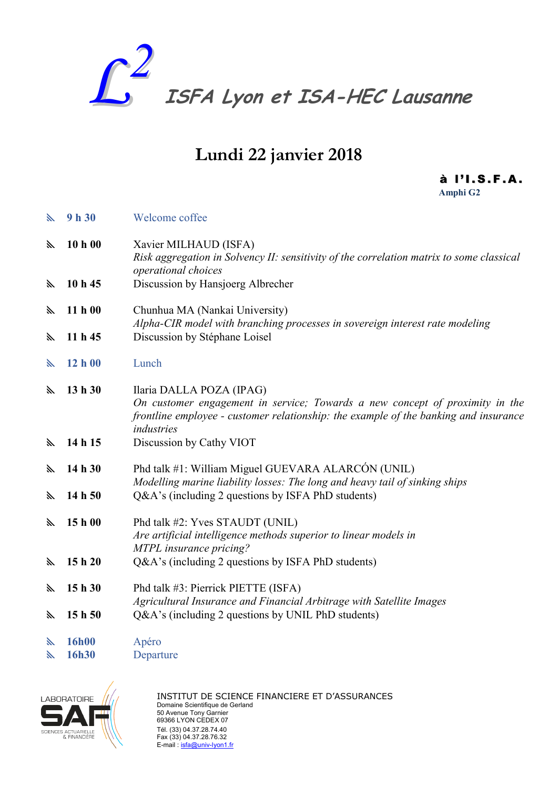

# Lundi 22 janvier 2018

à l 'I. S. F. A. Amphi G2

| J.  | 9h30    | Welcome coffee                                                                                                                                                                                                 |
|-----|---------|----------------------------------------------------------------------------------------------------------------------------------------------------------------------------------------------------------------|
| H,  | 10 h 00 | Xavier MILHAUD (ISFA)<br>Risk aggregation in Solvency II: sensitivity of the correlation matrix to some classical<br>operational choices                                                                       |
| h.  | 10 h 45 | Discussion by Hansjoerg Albrecher                                                                                                                                                                              |
| h.  | 11 h00  | Chunhua MA (Nankai University)<br>Alpha-CIR model with branching processes in sovereign interest rate modeling                                                                                                 |
| h.  | 11h45   | Discussion by Stéphane Loisel                                                                                                                                                                                  |
| ⋋   | 12 h00  | Lunch                                                                                                                                                                                                          |
| ×.  | 13h30   | Ilaria DALLA POZA (IPAG)<br>On customer engagement in service; Towards a new concept of proximity in the<br>frontline employee - customer relationship: the example of the banking and insurance<br>industries |
| h.  | 14 h 15 | Discussion by Cathy VIOT                                                                                                                                                                                       |
| is. | 14 h 30 | Phd talk #1: William Miguel GUEVARA ALARCÓN (UNIL)<br>Modelling marine liability losses: The long and heavy tail of sinking ships                                                                              |
| h.  | 14h50   | Q&A's (including 2 questions by ISFA PhD students)                                                                                                                                                             |
| h.  | 15 h 00 | Phd talk #2: Yves STAUDT (UNIL)<br>Are artificial intelligence methods superior to linear models in<br>MTPL insurance pricing?                                                                                 |
| h.  | 15h20   | Q&A's (including 2 questions by ISFA PhD students)                                                                                                                                                             |
| h.  | 15h30   | Phd talk #3: Pierrick PIETTE (ISFA)<br>Agricultural Insurance and Financial Arbitrage with Satellite Images                                                                                                    |
| K   | 15h50   | Q&A's (including 2 questions by UNIL PhD students)                                                                                                                                                             |
| is. | 16h00   | Apéro                                                                                                                                                                                                          |
| ⋋   | 16h30   | Departure                                                                                                                                                                                                      |



INSTITUT DE SCIENCE FINANCIERE ET D'ASSURANCES Domaine Scientifique de Gerland 50 Avenue Tony Garnier 69366 LYON CEDEX 07 Tél. (33) 04.37.28.74.40 Fax (33) 04.37.28.76.32 E-mail : <u>isfa@univ-lyon1.fr</u>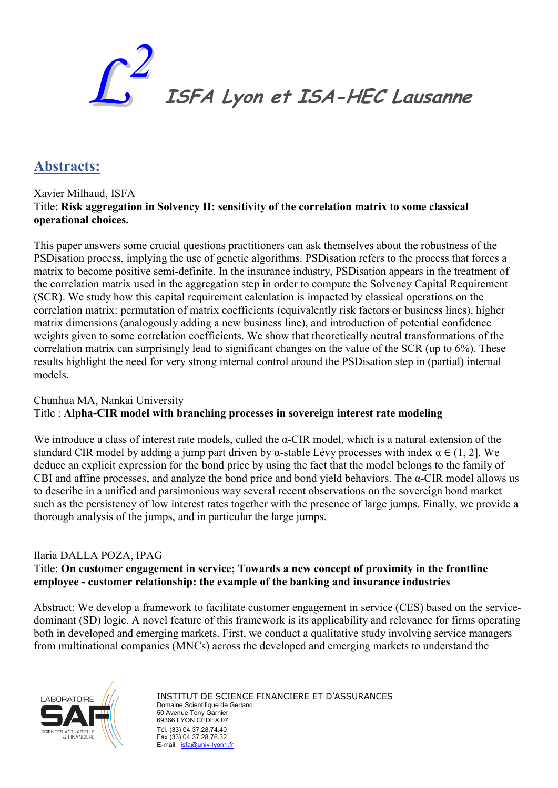

## Abstracts:

Xavier Milhaud, ISFA Title: Risk aggregation in Solvency II: sensitivity of the correlation matrix to some classical operational choices.

This paper answers some crucial questions practitioners can ask themselves about the robustness of the PSDisation process, implying the use of genetic algorithms. PSDisation refers to the process that forces a matrix to become positive semi-definite. In the insurance industry, PSDisation appears in the treatment of the correlation matrix used in the aggregation step in order to compute the Solvency Capital Requirement (SCR). We study how this capital requirement calculation is impacted by classical operations on the correlation matrix: permutation of matrix coefficients (equivalently risk factors or business lines), higher matrix dimensions (analogously adding a new business line), and introduction of potential confidence weights given to some correlation coefficients. We show that theoretically neutral transformations of the correlation matrix can surprisingly lead to significant changes on the value of the SCR (up to 6%). These results highlight the need for very strong internal control around the PSDisation step in (partial) internal models.

### Chunhua MA, Nankai University Title : Alpha-CIR model with branching processes in sovereign interest rate modeling

We introduce a class of interest rate models, called the  $\alpha$ -CIR model, which is a natural extension of the standard CIR model by adding a jump part driven by α-stable Lévy processes with index  $\alpha \in (1, 2]$ . We deduce an explicit expression for the bond price by using the fact that the model belongs to the family of CBI and affine processes, and analyze the bond price and bond yield behaviors. The  $\alpha$ -CIR model allows us to describe in a unified and parsimonious way several recent observations on the sovereign bond market such as the persistency of low interest rates together with the presence of large jumps. Finally, we provide a thorough analysis of the jumps, and in particular the large jumps.

#### Ilaria DALLA POZA, IPAG

### Title: On customer engagement in service; Towards a new concept of proximity in the frontline employee - customer relationship: the example of the banking and insurance industries

Abstract: We develop a framework to facilitate customer engagement in service (CES) based on the servicedominant (SD) logic. A novel feature of this framework is its applicability and relevance for firms operating both in developed and emerging markets. First, we conduct a qualitative study involving service managers from multinational companies (MNCs) across the developed and emerging markets to understand the

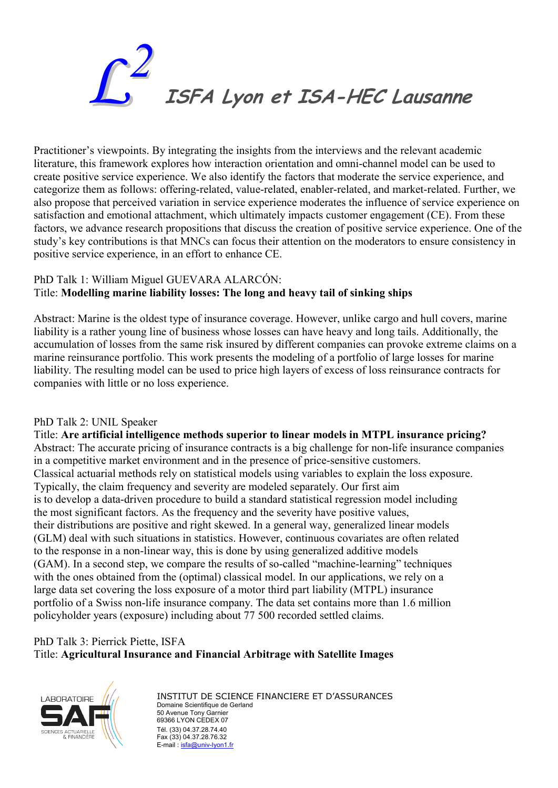

Practitioner's viewpoints. By integrating the insights from the interviews and the relevant academic literature, this framework explores how interaction orientation and omni-channel model can be used to create positive service experience. We also identify the factors that moderate the service experience, and categorize them as follows: offering-related, value-related, enabler-related, and market-related. Further, we also propose that perceived variation in service experience moderates the influence of service experience on satisfaction and emotional attachment, which ultimately impacts customer engagement (CE). From these factors, we advance research propositions that discuss the creation of positive service experience. One of the study's key contributions is that MNCs can focus their attention on the moderators to ensure consistency in positive service experience, in an effort to enhance CE.

#### PhD Talk 1: William Miguel GUEVARA ALARCÓN: Title: Modelling marine liability losses: The long and heavy tail of sinking ships

Abstract: Marine is the oldest type of insurance coverage. However, unlike cargo and hull covers, marine liability is a rather young line of business whose losses can have heavy and long tails. Additionally, the accumulation of losses from the same risk insured by different companies can provoke extreme claims on a marine reinsurance portfolio. This work presents the modeling of a portfolio of large losses for marine liability. The resulting model can be used to price high layers of excess of loss reinsurance contracts for companies with little or no loss experience.

#### PhD Talk 2: UNIL Speaker

Title: Are artificial intelligence methods superior to linear models in MTPL insurance pricing? Abstract: The accurate pricing of insurance contracts is a big challenge for non-life insurance companies in a competitive market environment and in the presence of price-sensitive customers. Classical actuarial methods rely on statistical models using variables to explain the loss exposure. Typically, the claim frequency and severity are modeled separately. Our first aim is to develop a data-driven procedure to build a standard statistical regression model including the most significant factors. As the frequency and the severity have positive values, their distributions are positive and right skewed. In a general way, generalized linear models (GLM) deal with such situations in statistics. However, continuous covariates are often related to the response in a non-linear way, this is done by using generalized additive models (GAM). In a second step, we compare the results of so-called "machine-learning" techniques with the ones obtained from the (optimal) classical model. In our applications, we rely on a large data set covering the loss exposure of a motor third part liability (MTPL) insurance portfolio of a Swiss non-life insurance company. The data set contains more than 1.6 million policyholder years (exposure) including about 77 500 recorded settled claims.

### PhD Talk 3: Pierrick Piette, ISFA Title: Agricultural Insurance and Financial Arbitrage with Satellite Images



INSTITUT DE SCIENCE FINANCIERE ET D'ASSURANCES Domaine Scientifique de Gerland 50 Avenue Tony Garnier 69366 LYON CEDEX 07 Tél. (33) 04.37.28.74.40 Fax (33) 04.37.28.76.32 E-mail : isfa@univ-lyon1.fr